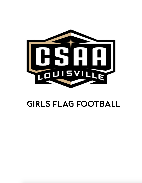

# GIRLS FLAG FOOTBALL

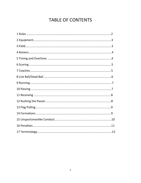## **TABLE OF CONTENTS**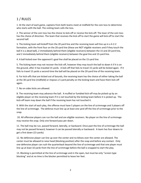## 1 / RULES

1. At the start of each game, captains from both teams meet at midfield for the coin toss to determine who starts with the ball. The visiting team calls the toss.

2. The winner of the coin toss has the choice to kick-off or receive the kick-off. The loser of the coin toss has the choice of direction. The team that receives the kick-off to start the game will kick-off to start the second half.

3. The kicking team will kickoff from the 20 yard line and the receiving team will line up in a 4-2-2 formation, with the front four on the 20-yard line (these are NOT eligible receivers and if they touch the ball it is a dead ball), 2 immediately behind them (eligible receivers) between the 15 and 20-yard line, and 2 immediately behind them (eligible receivers) between the goal line and 15-yard line.

4. A ball kicked over the opponent's goal line shall be placed on the 15-yard line.

5. The kicking team may not recover the kick-off, however they may touch the ball to down it if it is on the ground, after it has traveled 15 yards. A kick-off that fails to travel 15 yards will be kicked again. If it fails to travel 15 yards a second time the ball will be placed on the 20-yard line of the receiving team.

6. For kick-offs that are kicked out of bounds, the receiving team has the choice of either taking the ball at the 30-yard line (midfield) or impose a 5-yard penalty on the kicking team and have them kick-off again.

7. No on-sides kicks are allowed.

8. The receiving team may advance the ball. A muffed or fumbled kick-off may be picked up by an eligible player on the receiving team if it is not touched by the kicking team before it is picked up. The kick-off team may down the ball if the receiving team has not touched it.

9. With the start of each play, the offense must have 5 players on the line of scrimmage and 3 players off the line of scrimmage. The defense must line up at least one yard off the line of scrimmage prior to the snap.

10. All offensive players can run the ball and are eligible receivers. No player on the line of scrimmage may receive the snap. Only one forward pass per down.

11. The ball may be run, passed forward, laterally, or backward. Once past the line of scrimmage the ball may not be passed forward, however it can be passed laterally or backward. A team has four downs to get a first down (15 yards).

12. No defensive player can line up over the center and no blitzes over the center are allowed. The center must be allowed to raise head (blocking position) after the snap and before any contact. Only one defensive player can rush the quarterback beyond the line of scrimmage and that one player must line up at least 10 yards from the line of scrimmage before the ball is snapped to start the play.

13. Blocking is permitted at the line of scrimmage and in the open, but must be only "screen type blocking" and at no time is the blocker permitted to leave her feet.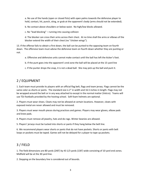a. No use of the hands (open or closed fists) with open palms towards the defensive player to hold, contact, hit, punch, sting, or grab at the opponent's body (arms should not be extended).

b. No contact above shoulders or below waist. No high/low blocks allowed.

c. No "lead blocking" – running into causing collision

d. The blocker can cross their arms across their chest. At no time shall the arms or elbows of the blocker extend the width of their chest (no "chicken wings").

13. If the offense fails to obtain a first down, the ball can be punted to the opposing team on fourth down. The offensive team must advise the defensive team on fourth down whether they are punting or not.

- a. Offensive and defensive units cannot make contact until the ball has left the kicker's foot.
- b. If the punt goes into the opponent's end zone the ball will be placed at the 15-yard line
- c. If the punter drops the snap, it is not a dead ball. She may pick up the ball and punt it.

#### 2 / EQUIPMENT

1. Each team must provide its players with an official flag belt, flags and team jersey. Flags cannot be the same color as shorts or pants. The standard size is 2" in width and 16.5 inches in length. Flags may not be wrapped around the belt or in any way attached to except in the normal matter (Velcro). Teams will use TDJ footballs provided by the hosting school. Soft foam helmets are optional.

2. Players must wear shoes. Cleats may not be allowed at certain locations. However, cleats with exposed metal are never allowed and must be removed.

3. Players must wear mouth pieces during practices and games. Players may wear gloves, elbow pads and knee pads.

4. Players must remove all jewelry, hats and do-rags. Winter beanies are allowed.

5. Players' jerseys must be tucked into shorts or pants if they hang below the belt line.

6. We recommend players wear shorts or pants that do not have pockets. Shorts or pants with belt loops or pockets must be taped. Games will not be delayed for a player to tape up pockets.

### 3 / FIELD

1. The field dimensions are 80 yards (240') by 43 1/3 yards (130') wide consisting of 10 yard end zones. Midfield will be at the 30 yard line.

2. Stepping on the boundary line is considered out of bounds.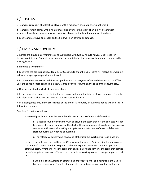## 4 / ROSTERS

1. Teams must consist of at least six players with a maximum of eight players on the field.

2. Teams may start games with a minimum of six players. In the event of an injury, a team with insufficient substitute players may play with five players on the field but no fewer than five.

3. Each team may have one coach on the field while on offense or defense.

#### 5 / TIMING AND OVERTIME

1. Games are played on a 40 minute continuous clock with two 20 minute halves. Clock stops for timeouts or injuries. Clock will also stop after each point after touchdown attempt and resume on the ensuing kickoff.

2. Halftime is two minutes.

3. Each time the ball is spotted, a team has 30 seconds to snap the ball. Teams will receive one warning before a delay-of-game penalty is enforced.

4. Each team has two 60-second timeouts per half with no carryover of unused timeouts to the 2<sup>nd</sup> half. Only the on-field coach can call a timeout. Game clock will resume on the snap of the ensuing play.

5. Officials can stop the clock at their discretion.

6. In the event of an injury, the clock will stop then restart when the injured player is removed from the field of play and both teams are lined up ready to restart the play.

7. In playoff games only, if the score is tied at the end of 40 minutes, an overtime period will be used to determine a winner

Overtime format is as follows:

a. A coin flip will determine the team that chooses to be on offense or defense first.

i. If a second round of overtime must be played, the team that lost the coin toss will get to choose offense or defense for the start of the second round of overtime. This process continues with teams alternating who gets to choose to be on offense or defense to start out during every round of overtime.

ii. The referee will determine which end of the field the overtime will take place on.

b. Each team will take turns getting one (1) play from the defense's 5-yard line for one point or the defense's 10-yard line for two points. Whether to go for one or two points is up to the offensive team. Whether or not the team that begins on offense converts the team that started on defense gets a chance on offense to win or tie by converting a one- or two-point play of their own.

i. Example: Team A starts on offense and chooses to go for one point from the 5-yard line and is successful. Team B is then on offense and can choose to either go for one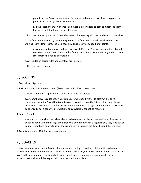point from the 5-yard line to tie and force a second round of overtime or to go for two points from the 10-yard line for the win.

ii. If the second team on offense in an overtime round fails to beat or match the team that went first, the team that went first wins.

c. Both teams must "go for two" from the 10-yard line starting with the third round of overtime.

d. The final points earned by the winning team in the final overtime will be added onto the winning team's total score. The losing team will not receive any additional points.

i. Example: End of regulation time, score is 14-14. Team A scores one point and Team B score two points. Team B wins with a final score of 16-14. Points are only added to total score from final round of overtime.

e. All regulation period rules and penalties are in effect.

f. There are no timeouts.

## 6 / SCORING

1. Touchdown: 6 points

2. PAT (point after touchdown) 1 point (5-yard line) or 2 points (10-yard line).

a. Note: 1 point PAT is pass only; 2 point PAT can be run or pass.

b. A team that scores a touchdown must declare whether it wishes to attempt a 1-point conversion (from the 5-yard line) or a 2-point conversion (from the 10-yard line). Any change, once a decision is made to try for the extra point, requires a charged timeout. A decision cannot be changed after a penalty. Interceptions on conversions cannot be returned.

#### 3. Safety: 2 points

a. A safety occurs when the ball-carrier is declared down in his/her own end zone. Runners can be called down when their flags are pulled by a defensive player, a flag falls out, they step out of bounds, their knee or arm touches the ground or if a snapped ball lands beyond the end zone.

5. Forfeits are scored 28-0 for the winning team.

## 7 / COACHES

1. Coaches are allowed on the field to direct players according to need and division. Upon the snap, coaches must be behind the deepest offensive and defensive players and out of the action. Coaches can assist in the alignment of their team to facilitate a fast-paced game but may not provide extra instruction or make audibles to play calls once the huddle is broken.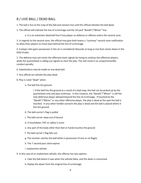#### 8 / LIVE BALL / DEAD BALL

1. The ball is live at the snap of the ball and remains live until the official whistles the ball dead.

2. The official will indicate the line of scrimmage and the 10-yard "Bandit"/"Blitzer" line.

a. It is an automatic dead ball foul if any player on defense or offense enters the neutral zone.

3. In regards to the neutral zone, the official may give both teams a "courtesy" neutral zone notification to allow their players to move back behind the line of scrimmage.

4. A player who gains possession in the air is considered inbounds as long as one foot comes down in the field of play.

5. The defense may not mimic the offensive team signals by trying to confuse the offensive players, while the quarterback is calling out signals to start the play. This will result in an unsportsmanlike conduct penalty.

6. Substitutions may be made on any dead ball.

- 7. Any official can whistle the play dead.
- 8. Play is ruled "dead" when:
	- a. The ball hits the ground

i. If the ball hits the ground as a result of a bad snap, the ball can be picked up by the quarterback only and play continues. In this instance, the "Bandit"/"Blitzer" is still the only defensive player allowed beyond the line of scrimmage. If touched by the "Bandit"/"Blitzer" or any other offensive player, the play is dead at the spot the ball is touched. In any other fumble scenario the play is dead and the ball is placed where it hits the ground.

- b. The ball-carrier's flag is pulled
- c. The ball-carrier steps out of bound
- d. A touchdown, PAT or safety is score
- e. Any part of the body other than feet or hands touches the ground
- f. The ball-carrier's flag falls out
- g. The receiver catches the ball while in possession of one or no flag(s)
- h. The 7 second pass clock expires
- i. Inadvertent whistle
- 9. In the case of an inadvertent whistle, the offense has two options:
	- a. Take the ball where it was when the whistle blew, and the down is consumed.
	- b. Replay the down from the original line of scrimmage.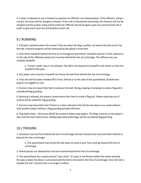9. A team is allowed to use a timeout to question an official's rule interpretation. If the official's ruling is correct, the team will be charged a timeout. If the rule is interpreted incorrectly, the timeout will not be charged and the proper ruling will be enforced. Officials should all agree upon any controversial call in order to give each team the full benefit of each call.

## 9 / RUNNING

1. The ball is spotted where the runner's feet are when the flag is pulled, not where the ball carrier has the ball. Forward progress will be measured by the player's front foot.

2. Only direct handoffs behind the line of scrimmage are permitted. Handoffs may be in front, behind or to the side of the offensive player but must be behind the line of scrimmage. The offense may use multiple handoffs.

a. "Center sneak" play is not allowed. The QB is not allowed to handoff to the center on the first handoff of the play.

3. Any player who receives a handoff can throw the ball from behind the line of scrimmage.

4. Once the ball has been handed off in front, behind or to the side of the quarterback, all defensive players are eligible to rush.

5. Runners may not leave their feet to advance the ball. Diving, leaping or jumping to avoid a flag pull is considered flag guarding.

6. Spinning is allowed, but players cannot leave their feet to avoid a flag pull. Players spinning out of control will be called for flag guarding.

7. Runners may leave their feet if there is a clear indication that he/she has done so to avoid collision with another player without a flag guarding penalty enforced.

8. Flag obstruction – All jerseys MUST be tucked in before play begins. The flags must be on the player's hips and free from obstruction. Deliberately obstructed flags will be considered flag guarding.

## 10 / PASSING

1. All passes must be from behind the line of scrimmage, thrown forward and received either behind or beyond the line scrimmage.

a. The quarterback may throw the ball away to avoid a sack. Pass must go beyond the line of scrimmage.

2. Shovel passes are allowed but must be received beyond the line of scrimmage.

3. The quarterback has a seven-second "pass clock." If a pass is not thrown within the seven seconds, the play is dead, the down is consumed and the ball is returned to the line of scrimmage. Once the ball is handed off, the 7-second rule is no longer in effect.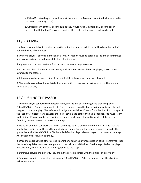a. If the QB is standing in the end zone at the end of the 7-second clock, the ball is returned to the line of scrimmage (LOS).

b. Officials count off the 7-second rule as they would visually signaling a 3-second call in basketball with the final 3 seconds counted off verbally so the quarterback can hear it.

### 11 / RECEIVING

1. All players are eligible to receive passes (including the quarterback if the ball has been handed off behind the line of scrimmage).

2. Only one player is allowed in motion at a time. All motion must be parallel to the line of scrimmage and no motion is permitted toward the line of scrimmage.

3. A player must have at least one foot inbounds when making a reception.

4. In the case of simultaneous possession by both an offensive and defensive player, possession is awarded to the offense.

5. Interceptions change possession at the point of the interceptions and are returnable.

6. The play is blown dead immediately if an interception is made on an extra-point try. There are no returns on that play.

### 12 / RUSHING THE PASSER

1. Only one player can rush the quarterback beyond the line of scrimmage and that one player ("Bandit"/"Blitzer") must line up at least 10 yards or more from the line of scrimmage before the ball is snapped to start the play. The referee will designate a rush line 10 yards from the line of scrimmage. If the "Bandit"/"Blitzer" starts towards the line of scrimmage before the ball is snapped, she must return to the initial 10-yard spot before rushing the quarterback unless the ball is handed off before the "Bandit"/"Blitzer" passes the line of scrimmage.

2. No other defender can cross the line of scrimmage other than the "Bandit"/"Blitzer" and rush the quarterback until the ball leaves the quarterback's hand. Even in the case of a fumbled snap by the quarterback, the "Bandit"/"Blitzer" is the only defensive player allowed beyond the line of scrimmage. An infraction will result in a penalty.

3. Once the ball is handed off or passed to another offensive player (possession of ball transferred) then the remaining defense may rush or pursue to the ball beyond the line of scrimmage. Defensive players must be one yard off the line of scrimmage prior to the snap.

4. Defensive players should verify they are in the correct position with the official on every play.

5. Teams are required to identify their rusher ("Bandit"/"Blitzer") to the defensive backfield official before each play.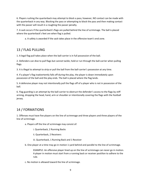6. Players rushing the quarterback may attempt to block a pass; however, NO contact can be made with the quarterback in any way. Blocking the pass or attempting to block the pass and then making contact with the passer will result in a roughing the passer penalty.

7. A sack occurs if the quarterback's flags are pulled behind the line of scrimmage. The ball is placed where the quarterback's feet are when flag is pulled.

a. A safety is awarded if the sack takes place in the offensive team's end zone.

### 13 / FLAG PULLING

1. A legal flag pull takes place when the ball-carrier is in full possession of the ball.

2. Defenders can dive to pull flags but cannot tackle, hold or run through the ball-carrier when pulling flags.

3. It is illegal to attempt to strip or pull the ball from the ball-carrier's possession at any time.

4. If a player's flag inadvertently falls off during the play, the player is down immediately upon possession of the ball and the play ends. The ball is placed where the flag lands.

5. A defensive player may not intentionally pull the flags off of a player who is not in possession of the ball.

6. Flag guarding is an attempt by the ball-carrier to obstruct the defender's access to the flags by stiff arming, dropping the head, hand, arm or shoulder or intentionally covering the flags with the football jersey.

#### 14 / FORMATIONS

1. Offenses must have five players on the line of scrimmage and three players and three players of the line of scrimmage.

a. Players off the line of scrimmage may consist of:

i. Quarterback, 2 Running Backs

ii. Quarterback, 2 Receivers

iii. Quarterback, 1 Running Back and 1 Receiver

b. One player at a time may go in motion 1-yard behind and parallel to the line of scrimmage.

EXAMPLE: An offensive player lined up on the line of scrimmage can never go in motion. A player in motion must start from a running back or receiver postilion to adhere to the rule.

c. No motion is allowed toward the line of scrimmage.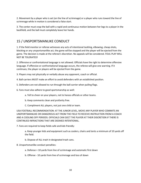2. Movement by a player who is set (on the line of scrimmage) or a player who runs toward the line of scrimmage while in motion is considered a false start.

3. The center must snap the ball with a rapid and continuous motion between her legs to a player in the backfield, and the ball must completely leave her hands.

## 15 / UNSPORTSMANLIKE CONDUCT

1. If the field monitor or referee witnesses any acts of intentional tackling, elbowing, cheap shots, blocking or any unsportsmanlike act, the game will be stopped and the player will be ejected from the game. The decision is made at the referee's discretion. No appeals will be considered. FOUL PLAY WILL NOT BE TOLERATED!

2. Offensive or confrontational language is not allowed. Officials have the right to determine offensive language. If offensive or confrontational language occurs, the referee will give one warning. If it continues, the player or players will be ejected from the game.

3. Players may not physically or verbally abuse any opponent, coach or official.

- 4. Ball-carriers MUST make an effort to avoid defenders with an established position.
- 5. Defenders are not allowed to run through the ball-carrier when pulling flags.
- 6. Fans must also adhere to good sportsmanship as well:
	- a. Yell to cheer on your players, not to harass officials or other teams.
	- b. Keep comments clean and profanity free.
	- C. Compliment ALL players, not just one child or team.

USA FOOTBALL RECOMMENDATION: AT THE JUNIOR LEVEL, MOVE ANY PLAYER WHO COMMITS AN UNSPORTSMANLIKE OR DANGEROUS ACT FROM THE FIELD TO RECEIVE INSTRUCTION FROM A COACH AND A COOLING OFF PERIODS. OFFICIALS CAN EJECT THE PLAYER AT THEIR DISCRETION IF THERE IS CONTINUED INFRACTIONS THAT ARE DEEMED INTENTIONAL.

7. Fans are required to keep fields safe and kids friendly:

a. Keep younger kids and equipment such as coolers, chairs and tents a minimum of 10 yards off the field.

b. Dispose of ALL trash in designated trash cans.

#### 8. Unsportsmanlike conduct penalties:

- a. Defense + 10 yards from line of scrimmage and automatic first down
- b. Offense 10 yards from line of scrimmage and loss of down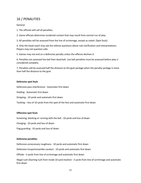## 16 / PENALITIES

#### General

1. The officials will call all penalties.

2. Game officials determine incidental contact that may result from normal run of play.

3. All penalties will be assessed from the line of scrimmage, except as noted. (Spot fouls)

4. Only the head coach may ask the referee questions about rule clarification and interpretations. Players may not question calls.

5. Games may not end on a defensive penalty unless the offense declines it.

6. Penalties are assessed live ball then dead ball. Live ball penalties must be assessed before play is considered complete.

7. Penalties will be assessed half the distance to the goal yardage when the penalty yardage is more than half the distance to the goal.

#### **Defensive spot fouls**

Defensive pass interference - Automatic first down

Holding - Automatic first down

Stripping - 10 yards and automatic first down

Tackling - loss of 10 yards from the spot of the foul and automatic first down

#### **Offensive spot fouls**

Screening, blocking or running with the ball - 10 yards and loss of down

Charging - 10 yards and loss of down

Flag guarding - 10 yards and loss of down

#### **Defensive penalties**

Defensive unnecessary roughness - 10 yards and automatic first down

Defensive Unsportsmanlike conduct - 10 yards and automatic first down

Offside - 5 yards from line of scrimmage and automatic first down

Illegal rush (Starting rush from inside 10-yard marker) - 5 yards from line of scrimmage and automatic first down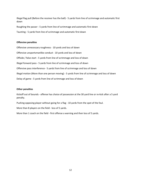Illegal flag pull (Before the receiver has the ball) - 5 yards from line of scrimmage and automatic first down

Roughing the passer - 5 yards from line of scrimmage and automatic first down

Taunting - 5 yards from line of scrimmage and automatic first down

#### **Offensive penalties**

Offensive unnecessary roughness - 10 yards and loss of down Offensive unsportsmanlike conduct - 10 yards and loss of down Offside / false start - 5 yards from line of scrimmage and loss of down Illegal forward pass - 5 yards from line of scrimmage and loss of down Offensive pass interference - 5 yards from line of scrimmage and loss of down Illegal motion (More than one person moving) - 5 yards from line of scrimmage and loss of down Delay of game - 5 yards from line of scrimmage and loss of down

#### **Other penalties**

Kickoff out of bounds - offense has choice of possession at the 30 yard line or re-kick after a 5 yard penalty.

Pushing opposing player without going for a flag - 10 yards from the spot of the foul.

More than 8 players on the field - loss of 5 yards.

More than 1 coach on the field - first offense a warning and then loss of 5 yards.